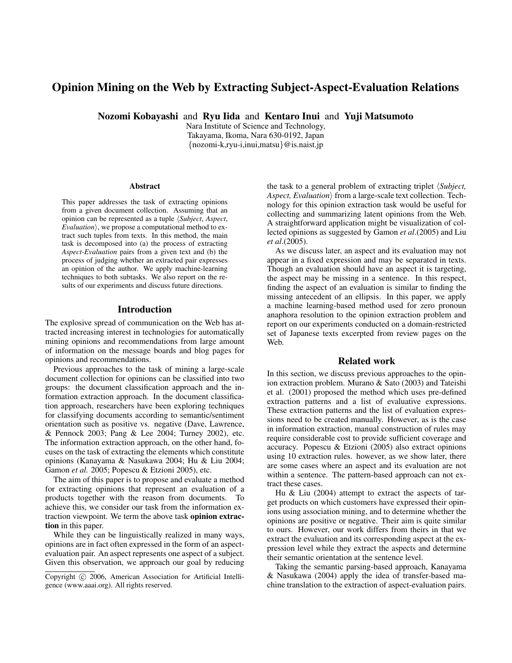# **Opinion Mining on the Web by Extracting Subject-Aspect-Evaluation Relations**

**Nozomi Kobayashi** and **Ryu Iida** and **Kentaro Inui** and **Yuji Matsumoto**

Nara Institute of Science and Technology, Takayama, Ikoma, Nara 630-0192, Japan {nozomi-k,ryu-i,inui,matsu}@is.naist.jp

#### **Abstract**

This paper addresses the task of extracting opinions from a given document collection. Assuming that an opinion can be represented as a tuple h*Subject*, *Aspect*, *Evaluation*, we propose a computational method to extract such tuples from texts. In this method, the main task is decomposed into (a) the process of extracting *Aspect-Evaluation* pairs from a given text and (b) the process of judging whether an extracted pair expresses an opinion of the author. We apply machine-learning techniques to both subtasks. We also report on the results of our experiments and discuss future directions.

#### **Introduction**

The explosive spread of communication on the Web has attracted increasing interest in technologies for automatically mining opinions and recommendations from large amount of information on the message boards and blog pages for opinions and recommendations.

Previous approaches to the task of mining a large-scale document collection for opinions can be classified into two groups: the document classification approach and the information extraction approach. In the document classification approach, researchers have been exploring techniques for classifying documents according to semantic/sentiment orientation such as positive vs. negative (Dave, Lawrence, & Pennock 2003; Pang & Lee 2004; Turney 2002), etc. The information extraction approach, on the other hand, focuses on the task of extracting the elements which constitute opinions (Kanayama & Nasukawa 2004; Hu & Liu 2004; Gamon *et al.* 2005; Popescu & Etzioni 2005), etc.

The aim of this paper is to propose and evaluate a method for extracting opinions that represent an evaluation of a products together with the reason from documents. To achieve this, we consider our task from the information extraction viewpoint. We term the above task **opinion extraction** in this paper.

While they can be linguistically realized in many ways, opinions are in fact often expressed in the form of an aspectevaluation pair. An aspect represents one aspect of a subject. Given this observation, we approach our goal by reducing the task to a general problem of extracting triplet *(Subject, Aspect, Evaluation*) from a large-scale text collection. Technology for this opinion extraction task would be useful for collecting and summarizing latent opinions from the Web. A straightforward application might be visualization of collected opinions as suggested by Gamon *et al*.(2005) and Liu *et al*.(2005).

As we discuss later, an aspect and its evaluation may not appear in a fixed expression and may be separated in texts. Though an evaluation should have an aspect it is targeting, the aspect may be missing in a sentence. In this respect, finding the aspect of an evaluation is similar to finding the missing antecedent of an ellipsis. In this paper, we apply a machine learning-based method used for zero pronoun anaphora resolution to the opinion extraction problem and report on our experiments conducted on a domain-restricted set of Japanese texts excerpted from review pages on the Web.

# **Related work**

In this section, we discuss previous approaches to the opinion extraction problem. Murano & Sato (2003) and Tateishi et al. (2001) proposed the method which uses pre-defined extraction patterns and a list of evaluative expressions. These extraction patterns and the list of evaluation expressions need to be created manually. However, as is the case in information extraction, manual construction of rules may require considerable cost to provide sufficient coverage and accuracy. Popescu & Etzioni (2005) also extract opinions using 10 extraction rules. however, as we show later, there are some cases where an aspect and its evaluation are not within a sentence. The pattern-based approach can not extract these cases.

Hu & Liu (2004) attempt to extract the aspects of target products on which customers have expressed their opinions using association mining, and to determine whether the opinions are positive or negative. Their aim is quite similar to ours. However, our work differs from theirs in that we extract the evaluation and its corresponding aspect at the expression level while they extract the aspects and determine their semantic orientation at the sentence level.

Taking the semantic parsing-based approach, Kanayama & Nasukawa (2004) apply the idea of transfer-based machine translation to the extraction of aspect-evaluation pairs.

Copyright © 2006, American Association for Artificial Intelligence (www.aaai.org). All rights reserved.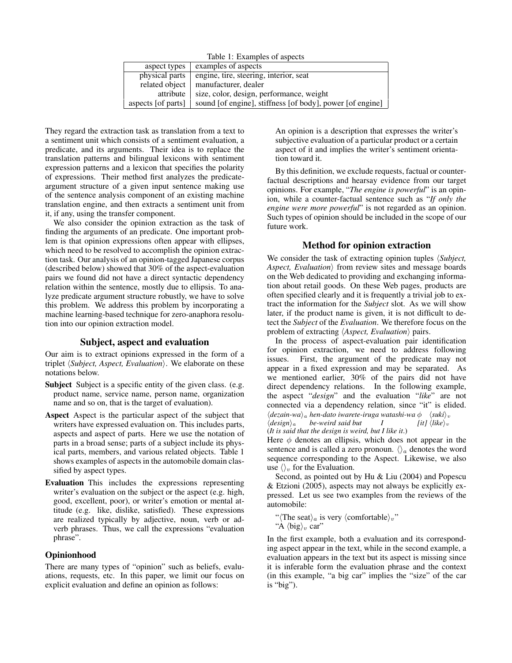Table 1: Examples of aspects

| aspect types       | examples of aspects                                       |
|--------------------|-----------------------------------------------------------|
| physical parts     | engine, tire, steering, interior, seat                    |
| related object     | manufacturer, dealer                                      |
| attribute          | size, color, design, performance, weight                  |
| aspects [of parts] | sound [of engine], stiffness [of body], power [of engine] |

They regard the extraction task as translation from a text to a sentiment unit which consists of a sentiment evaluation, a predicate, and its arguments. Their idea is to replace the translation patterns and bilingual lexicons with sentiment expression patterns and a lexicon that specifies the polarity of expressions. Their method first analyzes the predicateargument structure of a given input sentence making use of the sentence analysis component of an existing machine translation engine, and then extracts a sentiment unit from it, if any, using the transfer component.

We also consider the opinion extraction as the task of finding the arguments of an predicate. One important problem is that opinion expressions often appear with ellipses, which need to be resolved to accomplish the opinion extraction task. Our analysis of an opinion-tagged Japanese corpus (described below) showed that 30% of the aspect-evaluation pairs we found did not have a direct syntactic dependency relation within the sentence, mostly due to ellipsis. To analyze predicate argument structure robustly, we have to solve this problem. We address this problem by incorporating a machine learning-based technique for zero-anaphora resolution into our opinion extraction model.

## **Subject, aspect and evaluation**

Our aim is to extract opinions expressed in the form of a triplet  $\langle \textit{Subject}, \textit{Aspect}, \textit{Evaluation} \rangle$ . We elaborate on these notations below.

- **Subject** Subject is a specific entity of the given class. (e.g. product name, service name, person name, organization name and so on, that is the target of evaluation).
- **Aspect** Aspect is the particular aspect of the subject that writers have expressed evaluation on. This includes parts, aspects and aspect of parts. Here we use the notation of parts in a broad sense; parts of a subject include its physical parts, members, and various related objects. Table 1 shows examples of aspects in the automobile domain classified by aspect types.
- **Evaluation** This includes the expressions representing writer's evaluation on the subject or the aspect (e.g. high, good, excellent, poor), or writer's emotion or mental attitude (e.g. like, dislike, satisfied). These expressions are realized typically by adjective, noun, verb or adverb phrases. Thus, we call the expressions "evaluation phrase".

### **Opinionhood**

There are many types of "opinion" such as beliefs, evaluations, requests, etc. In this paper, we limit our focus on explicit evaluation and define an opinion as follows:

An opinion is a description that expresses the writer's subjective evaluation of a particular product or a certain aspect of it and implies the writer's sentiment orientation toward it.

By this definition, we exclude requests, factual or counterfactual descriptions and hearsay evidence from our target opinions. For example, "*The engine is powerful*" is an opinion, while a counter-factual sentence such as "*If only the engine were more powerful*" is not regarded as an opinion. Such types of opinion should be included in the scope of our future work.

### **Method for opinion extraction**

We consider the task of extracting opinion tuples *(Subject, Aspect, Evaluation*) from review sites and message boards on the Web dedicated to providing and exchanging information about retail goods. On these Web pages, products are often specified clearly and it is frequently a trivial job to extract the information for the *Subject* slot. As we will show later, if the product name is given, it is not difficult to detect the *Subject* of the *Evaluation*. We therefore focus on the problem of extracting  $\langle Aspect, Evaluation \rangle$  pairs.

In the process of aspect-evaluation pair identification for opinion extraction, we need to address following issues. First, the argument of the predicate may not appear in a fixed expression and may be separated. As we mentioned earlier, 30% of the pairs did not have direct dependency relations. In the following example, the aspect "*design*" and the evaluation "*like*" are not connected via a dependency relation, since "it" is elided.  $\langle \text{dezain-wa} \rangle_a$  *hen-dato iwarete-iruga watashi-wa*  $\phi$   $\langle \text{snk} \rangle_v$ <br> $\langle \text{design} \rangle_a$  *be-weird said but I* [it]  $\langle \text{like} \rangle_v$ h*design*i<sup>a</sup> *be-weird said but I [it]* h*like*i<sup>v</sup>

(*It is said that the design is weird, but I like it*.)

Here  $\phi$  denotes an ellipsis, which does not appear in the sentence and is called a zero pronoun.  $\langle \rangle_a$  denotes the word sequence corresponding to the Aspect. Likewise, we also use  $\langle \rangle$ , for the Evaluation.

Second, as pointed out by Hu & Liu (2004) and Popescu & Etzioni (2005), aspects may not always be explicitly expressed. Let us see two examples from the reviews of the automobile:

" $\langle$ The seat $\rangle_a$  is very  $\langle$  comfortable $\rangle_v$ "

"A  $\langle$ big $\rangle$ <sub>v</sub> car"

In the first example, both a evaluation and its corresponding aspect appear in the text, while in the second example, a evaluation appears in the text but its aspect is missing since it is inferable form the evaluation phrase and the context (in this example, "a big car" implies the "size" of the car is "big").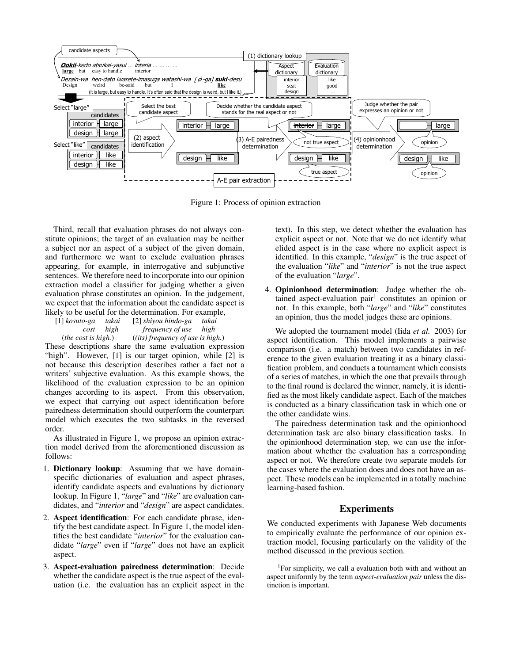

Figure 1: Process of opinion extraction

Third, recall that evaluation phrases do not always constitute opinions; the target of an evaluation may be neither a subject nor an aspect of a subject of the given domain, and furthermore we want to exclude evaluation phrases appearing, for example, in interrogative and subjunctive sentences. We therefore need to incorporate into our opinion extraction model a classifier for judging whether a given evaluation phrase constitutes an opinion. In the judgement, we expect that the information about the candidate aspect is likely to be useful for the determination. For example,

| $[1]$ kosuto-ga              | takai     | [2] shiyou hindo-ga                 | takai |  |
|------------------------------|-----------|-------------------------------------|-------|--|
|                              | cost high | <i>frequency of use</i>             | high  |  |
| ( <i>the cost is high.</i> ) |           | $(iits)$ frequency of use is high.) |       |  |

These descriptions share the same evaluation expression "high". However, [1] is our target opinion, while [2] is not because this description describes rather a fact not a writers' subjective evaluation. As this example shows, the likelihood of the evaluation expression to be an opinion changes according to its aspect. From this observation, we expect that carrying out aspect identification before pairedness determination should outperform the counterpart model which executes the two subtasks in the reversed order.

As illustrated in Figure 1, we propose an opinion extraction model derived from the aforementioned discussion as follows:

- 1. **Dictionary lookup**: Assuming that we have domainspecific dictionaries of evaluation and aspect phrases, identify candidate aspects and evaluations by dictionary lookup. In Figure 1, "*large*" and "*like*" are evaluation candidates, and "*interior* and "*design*" are aspect candidates.
- 2. **Aspect identification**: For each candidate phrase, identify the best candidate aspect. In Figure 1, the model identifies the best candidate "*interior*" for the evaluation candidate "*large*" even if "*large*" does not have an explicit aspect.
- 3. **Aspect-evaluation pairedness determination**: Decide whether the candidate aspect is the true aspect of the evaluation (i.e. the evaluation has an explicit aspect in the

text). In this step, we detect whether the evaluation has explicit aspect or not. Note that we do not identify what elided aspect is in the case where no explicit aspect is identified. In this example, "*design*" is the true aspect of the evaluation "*like*" and "*interior*" is not the true aspect of the evaluation "*large*".

4. **Opinionhood determination**: Judge whether the obtained aspect-evaluation pair<sup>1</sup> constitutes an opinion or not. In this example, both "*large*" and "*like*" constitutes an opinion, thus the model judges these are opinions.

We adopted the tournament model (Iida *et al.* 2003) for aspect identification. This model implements a pairwise comparison (i.e. a match) between two candidates in reference to the given evaluation treating it as a binary classification problem, and conducts a tournament which consists of a series of matches, in which the one that prevails through to the final round is declared the winner, namely, it is identified as the most likely candidate aspect. Each of the matches is conducted as a binary classification task in which one or the other candidate wins.

The pairedness determination task and the opinionhood determination task are also binary classification tasks. In the opinionhood determination step, we can use the information about whether the evaluation has a corresponding aspect or not. We therefore create two separate models for the cases where the evaluation does and does not have an aspect. These models can be implemented in a totally machine learning-based fashion.

# **Experiments**

We conducted experiments with Japanese Web documents to empirically evaluate the performance of our opinion extraction model, focusing particularly on the validity of the method discussed in the previous section.

<sup>&</sup>lt;sup>1</sup>For simplicity, we call a evaluation both with and without an aspect uniformly by the term *aspect-evaluation pair* unless the distinction is important.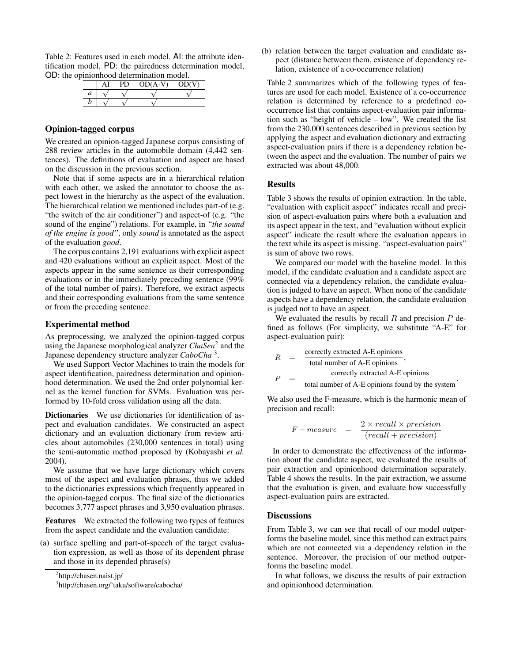Table 2: Features used in each model. AI: the attribute identification model, PD: the pairedness determination model, OD: the opinionhood determination model.

|   | .<br>. | ----      | . .<br>. . |
|---|--------|-----------|------------|
|   |        | $OD(A-V)$ | OD(V)      |
| a |        |           |            |
|   |        |           |            |
|   |        |           |            |

# **Opinion-tagged corpus**

We created an opinion-tagged Japanese corpus consisting of 288 review articles in the automobile domain (4,442 sentences). The definitions of evaluation and aspect are based on the discussion in the previous section.

Note that if some aspects are in a hierarchical relation with each other, we asked the annotator to choose the aspect lowest in the hierarchy as the aspect of the evaluation. The hierarchical relation we mentioned includes part-of (e.g. "the switch of the air conditioner") and aspect-of (e.g. "the sound of the engine") relations. For example, in *"the sound of the engine is good"*, only *sound* is annotated as the aspect of the evaluation *good*.

The corpus contains 2,191 evaluations with explicit aspect and 420 evaluations without an explicit aspect. Most of the aspects appear in the same sentence as their corresponding evaluations or in the immediately preceding sentence (99% of the total number of pairs). Therefore, we extract aspects and their corresponding evaluations from the same sentence or from the preceding sentence.

#### **Experimental method**

As preprocessing, we analyzed the opinion-tagged corpus using the Japanese morphological analyzer *ChaSen*<sup>2</sup> and the Japanese dependency structure analyzer *CaboCha* <sup>3</sup> .

We used Support Vector Machines to train the models for aspect identification, pairedness determination and opinionhood determination. We used the 2nd order polynomial kernel as the kernel function for SVMs. Evaluation was performed by 10-fold cross validation using all the data.

**Dictionaries** We use dictionaries for identification of aspect and evaluation candidates. We constructed an aspect dictionary and an evaluation dictionary from review articles about automobiles (230,000 sentences in total) using the semi-automatic method proposed by (Kobayashi *et al.* 2004).

We assume that we have large dictionary which covers most of the aspect and evaluation phrases, thus we added to the dictionaries expressions which frequently appeared in the opinion-tagged corpus. The final size of the dictionaries becomes 3,777 aspect phrases and 3,950 evaluation phrases.

**Features** We extracted the following two types of features from the aspect candidate and the evaluation candidate:

(a) surface spelling and part-of-speech of the target evaluation expression, as well as those of its dependent phrase and those in its depended phrase(s)

(b) relation between the target evaluation and candidate aspect (distance between them, existence of dependency relation, existence of a co-occurrence relation)

Table 2 summarizes which of the following types of features are used for each model. Existence of a co-occurrence relation is determined by reference to a predefined cooccurrence list that contains aspect-evaluation pair information such as "height of vehicle – low". We created the list from the 230,000 sentences described in previous section by applying the aspect and evaluation dictionary and extracting aspect-evaluation pairs if there is a dependency relation between the aspect and the evaluation. The number of pairs we extracted was about 48,000.

## **Results**

Table 3 shows the results of opinion extraction. In the table, "evaluation with explicit aspect" indicates recall and precision of aspect-evaluation pairs where both a evaluation and its aspect appear in the text, and "evaluation without explicit aspect" indicate the result where the evaluation appears in the text while its aspect is missing. "aspect-evaluation pairs" is sum of above two rows.

We compared our model with the baseline model. In this model, if the candidate evaluation and a candidate aspect are connected via a dependency relation, the candidate evaluation is judged to have an aspect. When none of the candidate aspects have a dependency relation, the candidate evaluation is judged not to have an aspect.

We evaluated the results by recall  $R$  and precision  $P$  defined as follows (For simplicity, we substitute "A-E" for aspect-evaluation pair):

$$
R = \frac{\text{correctly extracted A-E opinions}}{\text{total number of A-E opinions}},
$$
  

$$
P = \frac{\text{correctly extracted A-E opinions}}{\text{total number of A-E opinions found by the system}}.
$$

We also used the F-measure, which is the harmonic mean of precision and recall:

$$
F-measure = \frac{2 \times recall \times precision}{(recall + precision)}
$$

In order to demonstrate the effectiveness of the information about the candidate aspect, we evaluated the results of pair extraction and opinionhood determination separately. Table 4 shows the results. In the pair extraction, we assume that the evaluation is given, and evaluate how successfully aspect-evaluation pairs are extracted.

#### **Discussions**

From Table 3, we can see that recall of our model outperforms the baseline model, since this method can extract pairs which are not connected via a dependency relation in the sentence. Moreover, the precision of our method outperforms the baseline model.

In what follows, we discuss the results of pair extraction and opinionhood determination.

<sup>&</sup>lt;sup>2</sup>http://chasen.naist.jp/

<sup>3</sup> http://chasen.org/˜taku/software/cabocha/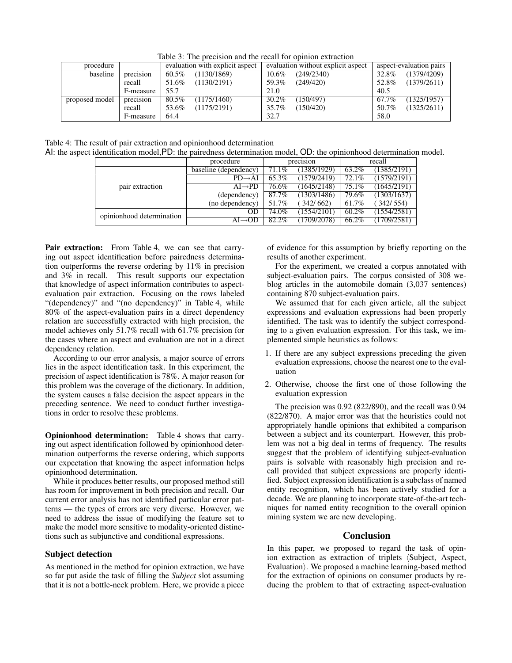| procedure      |           | evaluation with explicit aspect | evaluation without explicit aspect | aspect-evaluation pairs |  |  |
|----------------|-----------|---------------------------------|------------------------------------|-------------------------|--|--|
| baseline       | precision | (1130/1869)<br>60.5%            | (249/2340)<br>$10.6\%$             | (1379/4209)<br>32.8%    |  |  |
|                | recall    | (1130/2191)<br>51.6%            | 59.3%<br>(249/420)                 | (1379/2611)<br>52.8%    |  |  |
|                | F-measure | 55.7                            | 21.0                               | 40.5                    |  |  |
| proposed model | precision | 80.5%<br>(1175/1460)            | 30.2%<br>150/497                   | (1325/1957)<br>67.7%    |  |  |
|                | recall    | (1175/2191)<br>53.6%            | (150/420)<br>35.7%                 | (1325/2611)<br>50.7%    |  |  |
|                | F-measure | 64.4                            | 32.7                               | 58.0                    |  |  |

Table 3: The precision and the recall for opinion extraction

Table 4: The result of pair extraction and opinionhood determination

AI: the aspect identification model,PD: the pairedness determination model, OD: the opinionhood determination model.

|                           | procedure               | precision |             | recall |                      |
|---------------------------|-------------------------|-----------|-------------|--------|----------------------|
| pair extraction           | baseline (dependency)   | 71.1%     | (1385/1929) | 63.2%  | (1385/2191)          |
|                           | $PD \rightarrow AI$     | 65.3%     | (1579/2419) | 72.1%  | (1579/2191)          |
|                           | $AI \rightarrow PD$     | $76.6\%$  | (1645/2148) | 75.1%  | (1645/2191)          |
|                           | (dependency)            | 87.7%     | (1303/1486) | 79.6%  | (1303/1637)          |
|                           | (no dependency)         | 51.7%     | (342/662)   | 61.7%  | $\frac{342}{7}$ 554) |
| opinionhood determination | OD                      | 74.0%     | (1554/2101) | 60.2%  | (1554/2581)          |
|                           | $A I \rightarrow 0 I J$ | 82.2%     | 1709/2078)  | 66.2%  | 1709/2581)           |

**Pair extraction:** From Table 4, we can see that carrying out aspect identification before pairedness determination outperforms the reverse ordering by 11% in precision and 3% in recall. This result supports our expectation that knowledge of aspect information contributes to aspectevaluation pair extraction. Focusing on the rows labeled "(dependency)" and "(no dependency)" in Table 4, while 80% of the aspect-evaluation pairs in a direct dependency relation are successfully extracted with high precision, the model achieves only 51.7% recall with 61.7% precision for the cases where an aspect and evaluation are not in a direct dependency relation.

According to our error analysis, a major source of errors lies in the aspect identification task. In this experiment, the precision of aspect identification is 78%. A major reason for this problem was the coverage of the dictionary. In addition, the system causes a false decision the aspect appears in the preceding sentence. We need to conduct further investigations in order to resolve these problems.

**Opinionhood determination:** Table 4 shows that carrying out aspect identification followed by opinionhood determination outperforms the reverse ordering, which supports our expectation that knowing the aspect information helps opinionhood determination.

While it produces better results, our proposed method still has room for improvement in both precision and recall. Our current error analysis has not identified particular error patterns — the types of errors are very diverse. However, we need to address the issue of modifying the feature set to make the model more sensitive to modality-oriented distinctions such as subjunctive and conditional expressions.

# **Subject detection**

As mentioned in the method for opinion extraction, we have so far put aside the task of filling the *Subject* slot assuming that it is not a bottle-neck problem. Here, we provide a piece

of evidence for this assumption by briefly reporting on the results of another experiment.

For the experiment, we created a corpus annotated with subject-evaluation pairs. The corpus consisted of 308 weblog articles in the automobile domain (3,037 sentences) containing 870 subject-evaluation pairs.

We assumed that for each given article, all the subject expressions and evaluation expressions had been properly identified. The task was to identify the subject corresponding to a given evaluation expression. For this task, we implemented simple heuristics as follows:

- 1. If there are any subject expressions preceding the given evaluation expressions, choose the nearest one to the evaluation
- 2. Otherwise, choose the first one of those following the evaluation expression

The precision was 0.92 (822/890), and the recall was 0.94 (822/870). A major error was that the heuristics could not appropriately handle opinions that exhibited a comparison between a subject and its counterpart. However, this problem was not a big deal in terms of frequency. The results suggest that the problem of identifying subject-evaluation pairs is solvable with reasonably high precision and recall provided that subject expressions are properly identified. Subject expression identification is a subclass of named entity recognition, which has been actively studied for a decade. We are planning to incorporate state-of-the-art techniques for named entity recognition to the overall opinion mining system we are new developing.

# **Conclusion**

In this paper, we proposed to regard the task of opinion extraction as extraction of triplets (Subject, Aspect, Evaluation). We proposed a machine learning-based method for the extraction of opinions on consumer products by reducing the problem to that of extracting aspect-evaluation